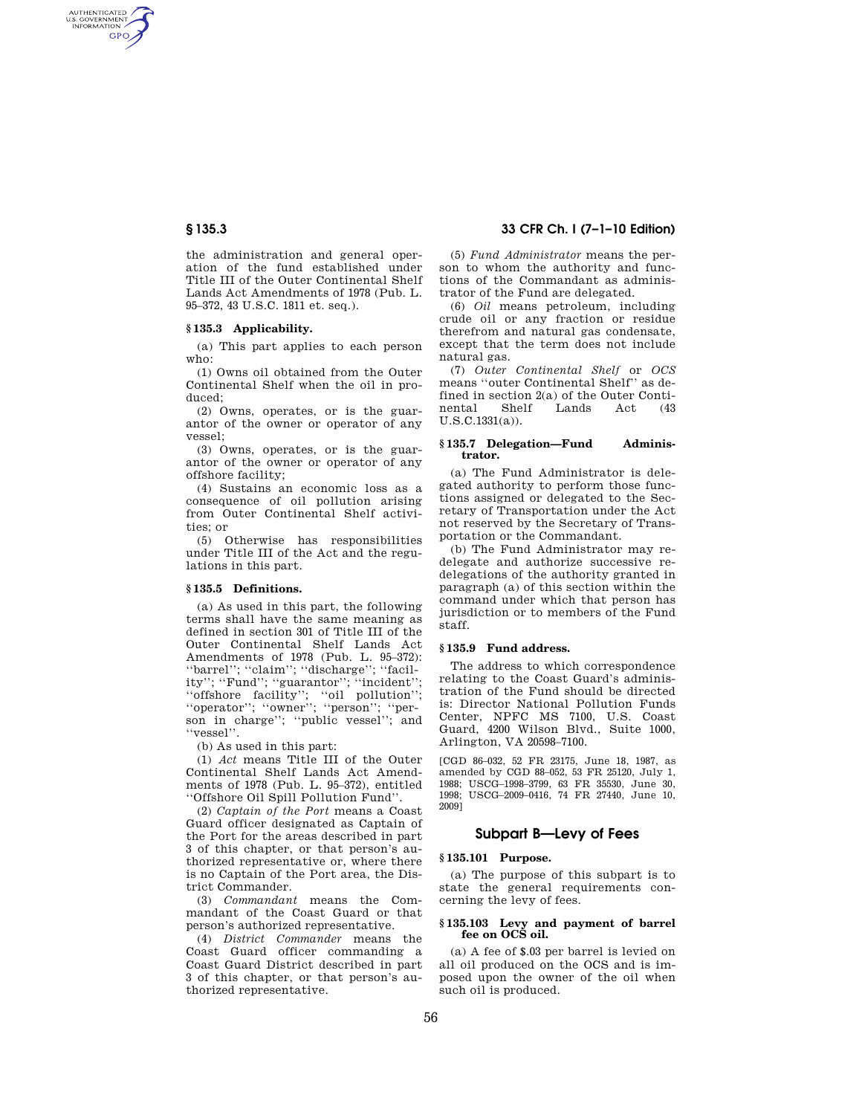AUTHENTICATED<br>U.S. GOVERNMENT<br>INFORMATION **GPO** 

> the administration and general operation of the fund established under Title III of the Outer Continental Shelf Lands Act Amendments of 1978 (Pub. L. 95–372, 43 U.S.C. 1811 et. seq.).

#### **§ 135.3 Applicability.**

(a) This part applies to each person who:

(1) Owns oil obtained from the Outer Continental Shelf when the oil in produced;

(2) Owns, operates, or is the guarantor of the owner or operator of any vessel;

(3) Owns, operates, or is the guarantor of the owner or operator of any offshore facility;

(4) Sustains an economic loss as a consequence of oil pollution arising from Outer Continental Shelf activities; or

(5) Otherwise has responsibilities under Title III of the Act and the regulations in this part.

#### **§ 135.5 Definitions.**

(a) As used in this part, the following terms shall have the same meaning as defined in section 301 of Title III of the Outer Continental Shelf Lands Act Amendments of 1978 (Pub. L. 95–372): ''barrel''; ''claim''; ''discharge''; ''facility''; ''Fund''; ''guarantor''; ''incident''; ''offshore facility''; ''oil pollution''; ''operator''; ''owner''; ''person''; ''person in charge''; ''public vessel''; and ''vessel''.

(b) As used in this part:

(1) *Act* means Title III of the Outer Continental Shelf Lands Act Amendments of 1978 (Pub. L. 95–372), entitled ''Offshore Oil Spill Pollution Fund''.

(2) *Captain of the Port* means a Coast Guard officer designated as Captain of the Port for the areas described in part 3 of this chapter, or that person's authorized representative or, where there is no Captain of the Port area, the District Commander.

(3) *Commandant* means the Commandant of the Coast Guard or that person's authorized representative.

(4) *District Commander* means the Coast Guard officer commanding a Coast Guard District described in part 3 of this chapter, or that person's authorized representative.

# **§ 135.3 33 CFR Ch. I (7–1–10 Edition)**

(5) *Fund Administrator* means the person to whom the authority and functions of the Commandant as administrator of the Fund are delegated.

(6) *Oil* means petroleum, including crude oil or any fraction or residue therefrom and natural gas condensate, except that the term does not include natural gas.

(7) *Outer Continental Shelf* or *OCS*  means ''outer Continental Shelf'' as defined in section 2(a) of the Outer Continental Shelf Lands Act (43) Lands Act (43 U.S.C.1331(a)).

#### **§ 135.7 Delegation—Fund Administrator.**

(a) The Fund Administrator is delegated authority to perform those functions assigned or delegated to the Secretary of Transportation under the Act not reserved by the Secretary of Transportation or the Commandant.

(b) The Fund Administrator may redelegate and authorize successive redelegations of the authority granted in paragraph (a) of this section within the command under which that person has jurisdiction or to members of the Fund staff.

## **§ 135.9 Fund address.**

The address to which correspondence relating to the Coast Guard's administration of the Fund should be directed is: Director National Pollution Funds Center, NPFC MS 7100, U.S. Coast Guard, 4200 Wilson Blvd., Suite 1000, Arlington, VA 20598–7100.

[CGD 86–032, 52 FR 23175, June 18, 1987, as amended by CGD 88–052, 53 FR 25120, July 1, 1988; USCG–1998–3799, 63 FR 35530, June 30, 1998; USCG–2009–0416, 74 FR 27440, June 10, 2009]

# **Subpart B—Levy of Fees**

### **§ 135.101 Purpose.**

(a) The purpose of this subpart is to state the general requirements concerning the levy of fees.

#### **§ 135.103 Levy and payment of barrel fee on OCS oil.**

(a) A fee of \$.03 per barrel is levied on all oil produced on the OCS and is imposed upon the owner of the oil when such oil is produced.